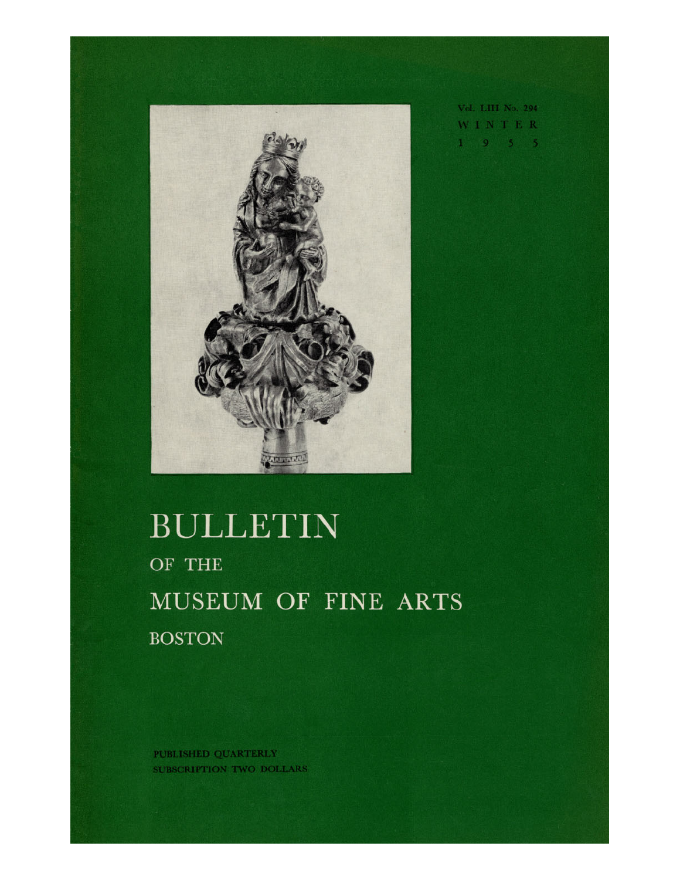

Vol. LIII No. 294 WINTER  $1<sup>1</sup>$  and  $3<sup>1</sup>$ 

## BULLETIN OF THE MUSEUM OF FINE ARTS **BOSTON**

PUBLISHED QUARTERLY SUBSCRIPTION TWO DOLLARS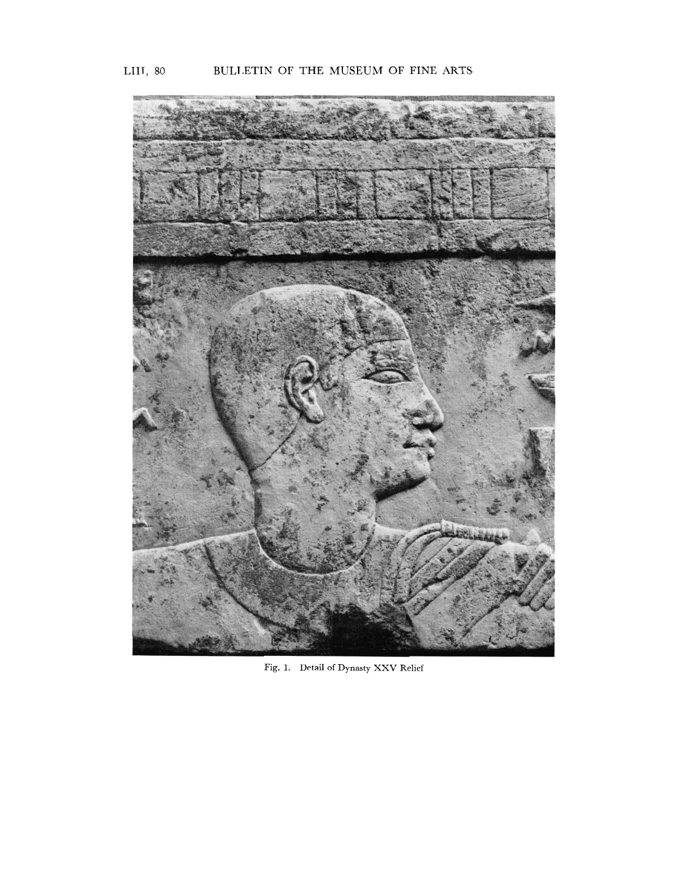

Fig. **1.** Detail of Dynasty XXV Relief